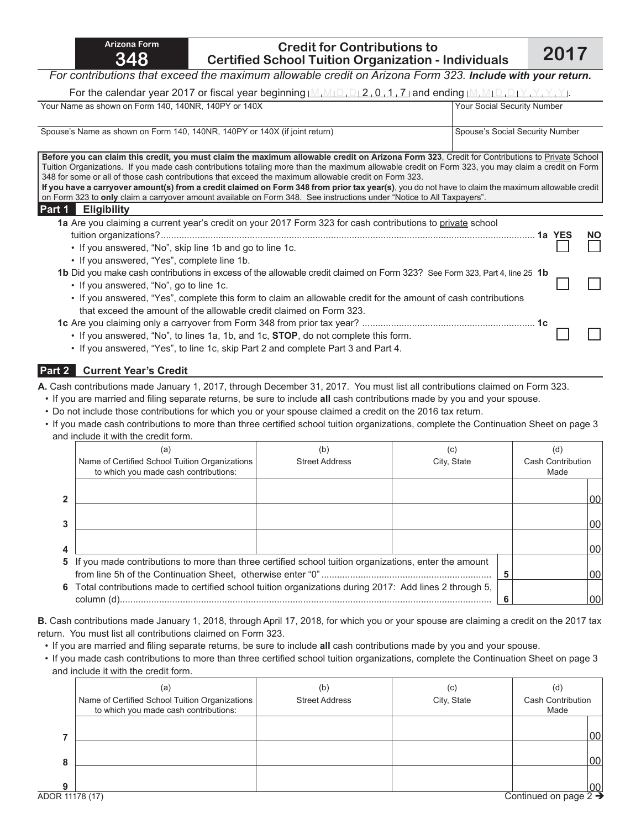## **Credit for Contributions to Certified School Tuition Organization - Individuals 2017**

### *For contributions that exceed the maximum allowable credit on Arizona Form 323. Include with your return.*

For the calendar year 2017 or fiscal year beginning  $(M, M, D, D, 2, 0, 1, 7)$  and ending  $(M, M, D, D, Y, Y, Y, Y, Y, Y)$ 

| $\sim$ 0. 0.0 calculate your LV in or notal your pogmants <u>comment of the containing containing</u>                                                                                                                                                                                                                                                                                                                                                                                                                                                                                                                                                                                                                     |                                 |
|---------------------------------------------------------------------------------------------------------------------------------------------------------------------------------------------------------------------------------------------------------------------------------------------------------------------------------------------------------------------------------------------------------------------------------------------------------------------------------------------------------------------------------------------------------------------------------------------------------------------------------------------------------------------------------------------------------------------------|---------------------------------|
| Your Name as shown on Form 140, 140NR, 140PY or 140X                                                                                                                                                                                                                                                                                                                                                                                                                                                                                                                                                                                                                                                                      | Your Social Security Number     |
| Spouse's Name as shown on Form 140, 140NR, 140PY or 140X (if joint return)                                                                                                                                                                                                                                                                                                                                                                                                                                                                                                                                                                                                                                                | Spouse's Social Security Number |
| Before you can claim this credit, you must claim the maximum allowable credit on Arizona Form 323. Credit for Contributions to Private School<br>Tuition Organizations. If you made cash contributions totaling more than the maximum allowable credit on Form 323, you may claim a credit on Form<br>348 for some or all of those cash contributions that exceed the maximum allowable credit on Form 323.<br>If you have a carryover amount(s) from a credit claimed on Form 348 from prior tax year(s), you do not have to claim the maximum allowable credit<br>on Form 323 to only claim a carryover amount available on Form 348. See instructions under "Notice to All Taxpayers".<br><b>Eligibility</b><br>Part 1 |                                 |
| 1a Are you claiming a current year's credit on your 2017 Form 323 for cash contributions to private school<br>• If you answered, "No", skip line 1b and go to line 1c.<br>• If you answered, "Yes", complete line 1b.                                                                                                                                                                                                                                                                                                                                                                                                                                                                                                     | <b>NO</b>                       |
| 1b Did you make cash contributions in excess of the allowable credit claimed on Form 323? See Form 323, Part 4, line 25 1b<br>• If you answered, "No", go to line 1c.<br>• If you answered, "Yes", complete this form to claim an allowable credit for the amount of cash contributions<br>that exceed the amount of the allowable credit claimed on Form 323.                                                                                                                                                                                                                                                                                                                                                            |                                 |
| • If you answered, "No", to lines 1a, 1b, and 1c, <b>STOP</b> , do not complete this form.<br>• If you answered, "Yes", to line 1c, skip Part 2 and complete Part 3 and Part 4.                                                                                                                                                                                                                                                                                                                                                                                                                                                                                                                                           |                                 |

### **Part 2 Current Year's Credit**

**A.** Cash contributions made January 1, 2017, through December 31, 2017. You must list all contributions claimed on Form 323.

- If you are married and filing separate returns, be sure to include **all** cash contributions made by you and your spouse.
- Do not include those contributions for which you or your spouse claimed a credit on the 2016 tax return.
- If you made cash contributions to more than three certified school tuition organizations, complete the Continuation Sheet on page 3 and include it with the credit form.

|              | (a)<br>Name of Certified School Tuition Organizations<br>to which you made cash contributions:           | (b)<br><b>Street Address</b> | (C)<br>City, State | (ď<br><b>Cash Contribution</b><br>Made |
|--------------|----------------------------------------------------------------------------------------------------------|------------------------------|--------------------|----------------------------------------|
| $\mathbf{2}$ |                                                                                                          |                              |                    | 00                                     |
| 3            |                                                                                                          |                              |                    | 00                                     |
| 4            |                                                                                                          |                              |                    | 00                                     |
|              | 5 If you made contributions to more than three certified school tuition organizations, enter the amount  |                              |                    | 00                                     |
|              | 6 Total contributions made to certified school tuition organizations during 2017: Add lines 2 through 5, |                              |                    | 00                                     |

**B.** Cash contributions made January 1, 2018, through April 17, 2018, for which you or your spouse are claiming a credit on the 2017 tax return. You must list all contributions claimed on Form 323.

- If you are married and filing separate returns, be sure to include **all** cash contributions made by you and your spouse.
- If you made cash contributions to more than three certified school tuition organizations, complete the Continuation Sheet on page 3 and include it with the credit form.

|   | (a)<br>Name of Certified School Tuition Organizations<br>to which you made cash contributions: | (b)<br><b>Street Address</b> | (C)<br>City, State | (d)<br>Cash Contribution<br>Made |
|---|------------------------------------------------------------------------------------------------|------------------------------|--------------------|----------------------------------|
|   |                                                                                                |                              |                    | 00 <sup>1</sup>                  |
| 8 |                                                                                                |                              |                    | 00 <sub>0</sub>                  |
| Q |                                                                                                |                              |                    | $00\,$                           |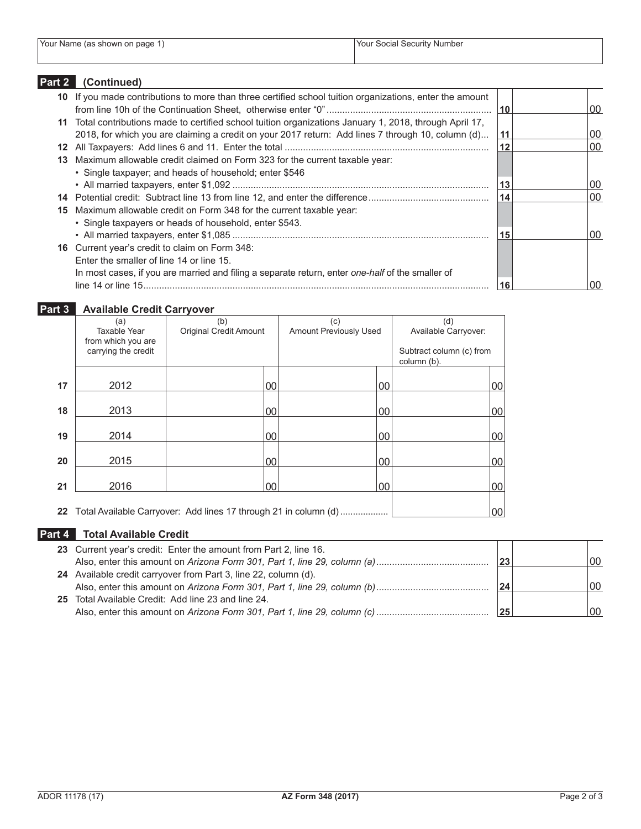| Your Name (as shown on page) | Your Social Security Number |
|------------------------------|-----------------------------|

## **Part 2 (Continued)**

| 10 If you made contributions to more than three certified school tuition organizations, enter the amount | 10 <sup>1</sup> | 00 |
|----------------------------------------------------------------------------------------------------------|-----------------|----|
| 11 Total contributions made to certified school tuition organizations January 1, 2018, through April 17, |                 |    |
| 2018, for which you are claiming a credit on your 2017 return: Add lines 7 through 10, column (d)        | 11              | 00 |
|                                                                                                          | 12              | 00 |
| 13 Maximum allowable credit claimed on Form 323 for the current taxable year:                            |                 |    |
| • Single taxpayer; and heads of household; enter \$546                                                   |                 |    |
|                                                                                                          | 13              | 00 |
|                                                                                                          | 14              | 00 |
| 15 Maximum allowable credit on Form 348 for the current taxable year:                                    |                 |    |
| • Single taxpayers or heads of household, enter \$543.                                                   |                 |    |
|                                                                                                          | 15              | 00 |
| <b>16</b> Current year's credit to claim on Form 348:                                                    |                 |    |
| Enter the smaller of line 14 or line 15.                                                                 |                 |    |
| In most cases, if you are married and filing a separate return, enter one-half of the smaller of         |                 |    |
|                                                                                                          | 16              | 00 |

# **Part 3 Available Credit Carryover**

|    | (a)                                       | (b)                                                                 |        | (c)                    |    | (d)                      |        |
|----|-------------------------------------------|---------------------------------------------------------------------|--------|------------------------|----|--------------------------|--------|
|    | Taxable Year                              | <b>Original Credit Amount</b>                                       |        | Amount Previously Used |    | Available Carryover:     |        |
|    | from which you are<br>carrying the credit |                                                                     |        |                        |    | Subtract column (c) from |        |
|    |                                           |                                                                     |        |                        |    | column (b).              |        |
|    |                                           |                                                                     |        |                        |    |                          |        |
| 17 | 2012                                      |                                                                     | 00     |                        | 00 |                          | 00     |
|    |                                           |                                                                     |        |                        |    |                          |        |
| 18 | 2013                                      |                                                                     | $00\,$ |                        | 00 |                          | $00\,$ |
|    |                                           |                                                                     |        |                        |    |                          |        |
| 19 | 2014                                      |                                                                     | 00     |                        | 00 |                          | $00\,$ |
|    |                                           |                                                                     |        |                        |    |                          |        |
| 20 | 2015                                      |                                                                     | 00     |                        | 00 |                          | $00\,$ |
|    |                                           |                                                                     |        |                        |    |                          |        |
| 21 | 2016                                      |                                                                     | 00     |                        | 00 |                          | $00\,$ |
|    |                                           |                                                                     |        |                        |    |                          |        |
|    |                                           | 22 Total Available Carryover: Add lines 17 through 21 in column (d) |        |                        |    |                          | 00     |

## **Part 4 Total Available Credit**

| 23 Current year's credit: Enter the amount from Part 2, line 16. |     |     |
|------------------------------------------------------------------|-----|-----|
|                                                                  | 23' | 100 |
| 24 Available credit carryover from Part 3, line 22, column (d).  |     |     |
|                                                                  | 24  | 00  |
| 25 Total Available Credit: Add line 23 and line 24.              |     |     |
|                                                                  | 25  | 00  |